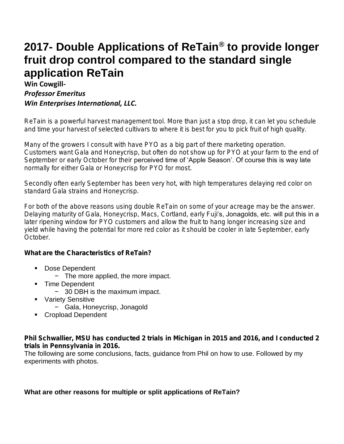# **2017- Double Applications of ReTain® to provide longer fruit drop control compared to the standard single application ReTain**

### **Win Cowgill-***Professor Emeritus Win Enterprises International, LLC.*

*ReTain is a powerful harvest management tool. More than just a stop drop, it can let you schedule and time your harvest of selected cultivars to where it is best for you to pick fruit of high quality.*

*Many of the growers I consult with have PYO as a big part of there marketing operation. Customers want Gala and Honeycrisp, but often do not show up for PYO at your farm to the end of September or early October for their perceived time of 'Apple Season'. Of course this is way late normally for either Gala or Honeycrisp for PYO for most.*

*Secondly often early September has been very hot, with high temperatures delaying red color on standard Gala strains and Honeycrisp.* 

*For both of the above reasons using double ReTain on some of your acreage may be the answer. Delaying maturity of Gala, Honeycrisp, Macs, Cortland, early Fuji's, Jonagolds, etc. will put this in a later ripening window for PYO customers and allow the fruit to hang longer increasing size and yield while having the potential for more red color as it should be cooler in late September, early October.*

*What are the Characteristics of ReTain?*

- *Dose Dependent*
	- − *The more applied, the more impact.*
- *Time Dependent*
	- − *30 DBH is the maximum impact.*
- *Variety Sensitive*
	- − *Gala, Honeycrisp, Jonagold*
- *Cropload Dependent*

*Phil Schwallier, MSU has conducted 2 trials in Michigan in 2015 and 2016, and I conducted 2 trials in Pennsylvania in 2016.*

*The following are some conclusions, facts, guidance from Phil on how to use. Followed by my experiments with photos.*

What are other reasons for multiple or split applications of ReTain?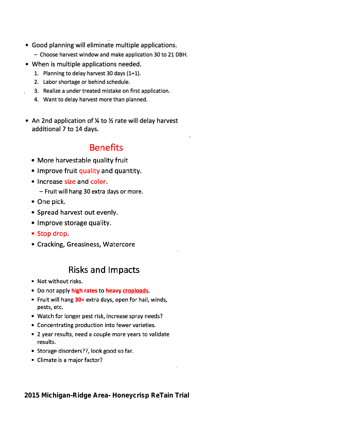- Good planning will eliminate multiple applications.
	- Choose harvest window and make application 30 to 21 DBH.
- When is multiple applications needed.
	- 1. Planning to delay harvest 30 days (1+1).
	- 2. Labor shortage or behind schedule.
	- 3. Realize a under treated mistake on first application.
	- 4. Want to delay harvest more than planned.
- An 2nd application of % to % rate will delay harvest additional 7 to 14 days.

## **Benefits**

- More harvestable quality fruit
- Improve fruit quality and quantity.
- Increase size and color.
	- Fruit will hang 30 extra days or more.
- One pick.
- Spread harvest out evenly.
- Improve storage quality.
- Stop drop.
- Cracking, Greasiness, Watercore

### **Risks and Impacts**

- Not without risks.
- . Do not apply high rates to heavy croploads.
- Fruit will hang 30+ extra days, open for hail, winds, pests, etc.
- Watch for longer pest risk, increase spray needs?
- Concentrating production into fewer varieties.
- 2 year results, need a couple more years to validate results.
- Storage disorders??, look good so far.
- Climate is a major factor?

2015 Michigan-Ridge Area- Honeycrisp ReTain Trial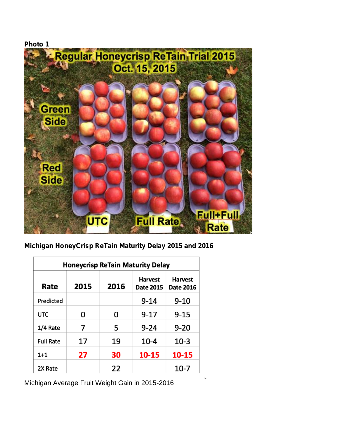

*Michigan HoneyCrisp ReTain Maturity Delay 2015 and 2016*

| <b>Honeycrisp ReTain Maturity Delay</b> |      |      |                                    |                             |  |  |  |
|-----------------------------------------|------|------|------------------------------------|-----------------------------|--|--|--|
| Rate                                    | 2015 | 2016 | <b>Harvest</b><br><b>Date 2015</b> | Harvest<br><b>Date 2016</b> |  |  |  |
| Predicted                               |      |      | 9-14                               | 9-10                        |  |  |  |
| <b>UTC</b>                              | Ω    | 0    | 9-17                               | 9-15                        |  |  |  |
| 1/4 Rate                                | 7    | 5    | 9-24                               | $9-20$                      |  |  |  |
| <b>Full Rate</b>                        | 17   | 19   | $10 - 4$                           | $10-3$                      |  |  |  |
| $1+1$                                   | 27   | 30   | 10-15                              | 10-15                       |  |  |  |
| 2X Rate                                 |      | 22   |                                    | 10-7                        |  |  |  |

*Michigan Average Fruit Weight Gain in 2015-2016*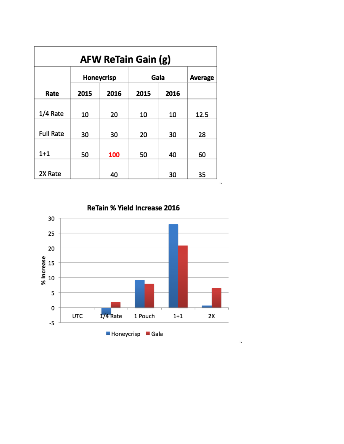| <b>AFW ReTain Gain (g)</b> |            |      |      |      |         |  |  |  |
|----------------------------|------------|------|------|------|---------|--|--|--|
|                            | Honeycrisp |      | Gala |      | Average |  |  |  |
| Rate                       | 2015       | 2016 | 2015 | 2016 |         |  |  |  |
| 1/4 Rate                   | 10         | 20   | 10   | 10   | 12.5    |  |  |  |
| <b>Full Rate</b>           | 30         | 30   | 20   | 30   | 28      |  |  |  |
| $1 + 1$                    | 50         | 100  | 50   | 40   | 60      |  |  |  |
| 2X Rate                    |            | 40   |      | 30   | 35      |  |  |  |

ReTain % Yield Increase 2016

 $\mathbf{k}$ 

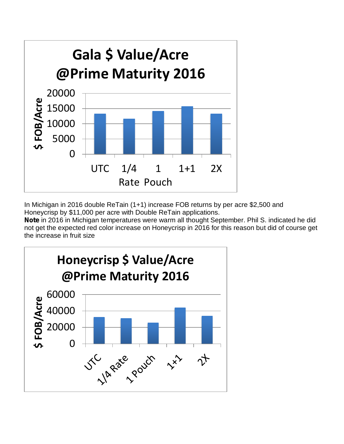

*In Michigan in 2016 double ReTain (1+1) increase FOB returns by per acre \$2,500 and Honeycrisp by \$11,000 per acre with Double ReTain applications.*

*Note in 2016 in Michigan temperatures were warm all thought September. Phil S. indicated he did not get the expected red color increase on Honeycrisp in 2016 for this reason but did of course get the increase in fruit size*

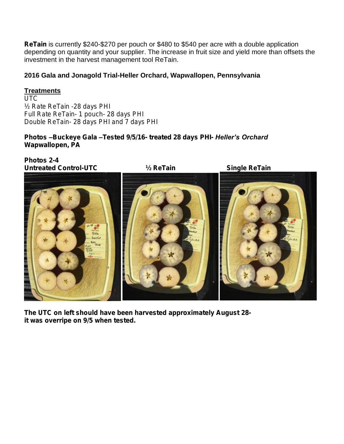*ReTain is currently \$240-\$270 per pouch or \$480 to \$540 per acre with a double application depending on quantity and your supplier. The increase in fruit size and yield more than offsets the investment in the harvest management tool ReTain.*

2016 Gala and Jonagold Trial-Heller Orchard, Wapwallopen, Pennsylvania

#### **Treatments**

*UTC ½ Rate ReTain -28 days PHI Full Rate ReTain- 1 pouch- 28 days PHI Double ReTain- 28 days PHI and 7 days PHI*

*Photos –Buckeye Gala –Tested 9/5/16- treated 28 days PHI- Heller's Orchard Wapwallopen, PA*

*Photos 2-4 Untreated Control-UTC ½ ReTain Single ReTain*





*The UTC on left should have been harvested approximately August 28 it was overripe on 9/5 when tested.*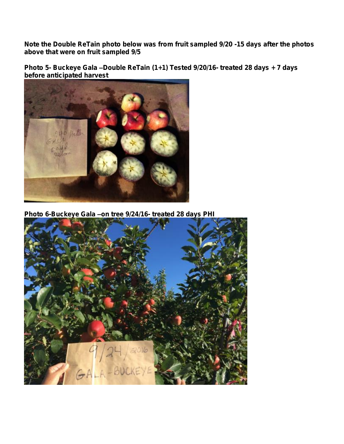*Note the Double ReTain photo below was from fruit sampled 9/20 -15 days after the photos above that were on fruit sampled 9/5*

*Photo 5- Buckeye Gala –Double ReTain (1+1) Tested 9/20/16- treated 28 days + 7 days before anticipated harvest*



*Photo 6-Buckeye Gala –on tree 9/24/16- treated 28 days PHI*